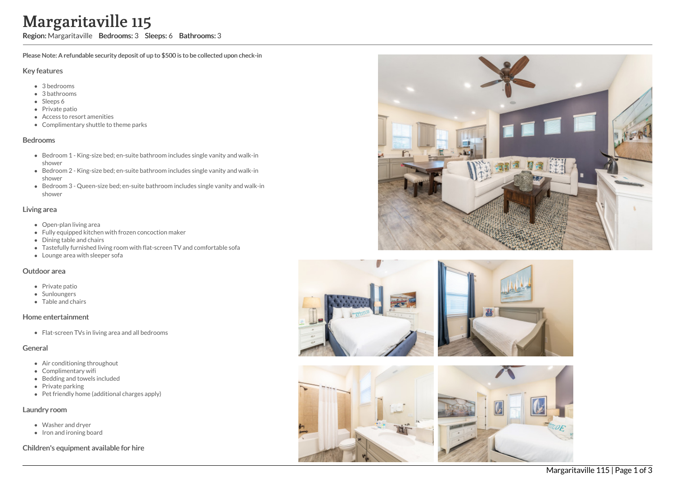# Margaritaville 115

Region: Margaritaville Bedrooms: 3 Sleeps: 6 Bathrooms: 3

Please Note: A refundable security deposit of up to \$500 is to be collected upon check-in

### Key features

- 3 b e d r o o m s
- 3 bathrooms
- Sleeps 6
- Private patio
- Access to resort amenities
- Complimentary shuttle to theme parks

#### **Bedrooms**

- Bedroom 1 King-size bed; en-suite bathroom includes single vanity and walk-in s h o w e r
- Bedroom 2 King-size bed; en-suite bathroom includes single vanity and walk-in s h o w e r
- Bedroom 3 Queen-size bed; en-suite bathroom includes single vanity and walk-in s h o w e r

### Living area

- Open-plan living area
- Fully equipped kitchen with frozen concoction maker
- Dining table and chairs
- Tastefully furnished living room with flat-screen TV and comfortable sofa
- Lounge area with sleeper sofa

#### Outdoor area

- Private patio
- **Sunloungers**
- T a ble a n d c h air s

#### Home entertainment

Flat-screen TVs in living area and all bedrooms

# General

- Air conditioning throughout
- Complimentary wifi
- Bedding and towels in clu d e d
- Private parking
- Pet friendly home (additional charges apply)

# Laundry room

- Washer and dryer
- Iron and ironing board

# Children's equipment available for hire







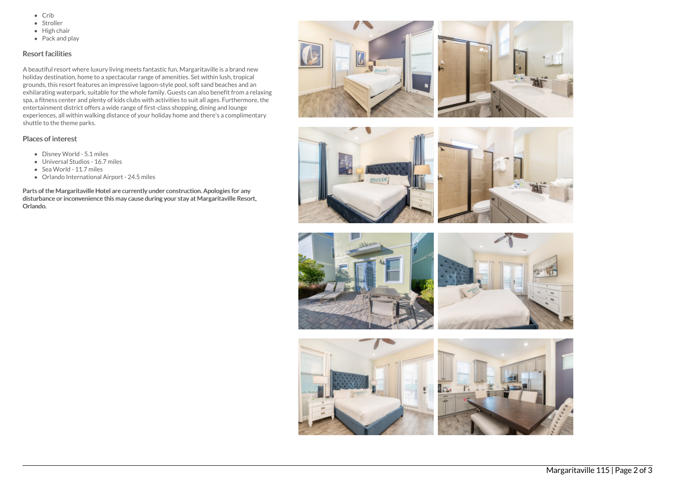- $\bullet$  Crib
- Stroller
- $\bullet$  High chair
- Pack and play

# Resort facilities

A beautiful resort where luxury living meets fantastic fun, Margaritaville is a brand new holiday destination, home to a spectacular range of amenities. Set within lush, tropical grounds, this resort features an impressive lagoon-style pool, soft sand beaches and an exhilarating waterpark, suitable for the whole family. Guests can also benefit from a relaxing spa, a fitness center and plenty of kids clubs with activities to suit all ages. Furthermore, the entertainment district offers a wide range of first-class shopping, dining and lounge experiences, all within walking distance of your holiday home and there's a complimentary shuttle to the theme parks.

# Places of interest

- Disney World 5.1 miles
- Universal Studios 16.7 miles
- Sea World 11.7 miles
- Orlando International Airport 24.5 miles

Parts of the Margaritaville Hotel are currently under construction. Apologies for any disturbance or inconvenience this may cause during your stay at Margaritaville Resort, Orlando.